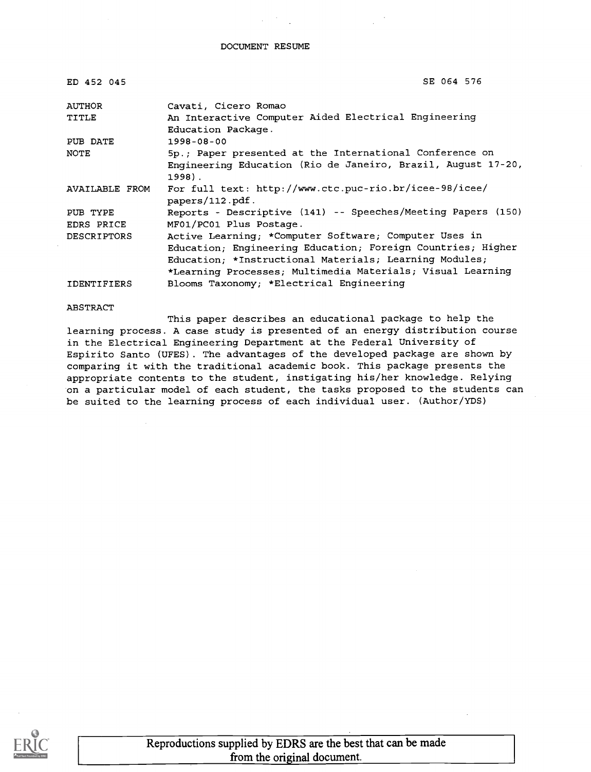| ED 452 045         | SE 064 576                                                                 |
|--------------------|----------------------------------------------------------------------------|
| AUTHOR             | Cavati, Cicero Romao                                                       |
| TITLE              | An Interactive Computer Aided Electrical Engineering<br>Education Package. |
| PUB DATE           | $1998 - 08 - 00$                                                           |
| NOTE               | 5p.; Paper presented at the International Conference on                    |
|                    | Engineering Education (Rio de Janeiro, Brazil, August 17-20,<br>$1998$ .   |
| AVAILABLE FROM     | For full text: http://www.ctc.puc-rio.br/icee-98/icee/<br>papers/112.pdf.  |
| PUB TYPE           | Reports - Descriptive (141) -- Speeches/Meeting Papers (150)               |
| EDRS PRICE         | MF01/PC01 Plus Postage.                                                    |
| <b>DESCRIPTORS</b> | Active Learning; *Computer Software; Computer Uses in                      |
|                    | Education; Engineering Education; Foreign Countries; Higher                |
|                    | Education: *Instructional Materials; Learning Modules;                     |
|                    | *Learning Processes; Multimedia Materials; Visual Learning                 |
| IDENTIFIERS        | Blooms Taxonomy; *Electrical Engineering                                   |

ABSTRACT

This paper describes an educational package to help the learning process. A case study is presented of an energy distribution course in the Electrical Engineering Department at the Federal University of Espirito Santo (UFES). The advantages of the developed package are shown by comparing it with the traditional academic book. This package presents the appropriate contents to the student, instigating his/her knowledge. Relying on a particular model of each student, the tasks proposed to the students can be suited to the learning process of each individual user. (Author/YDS)

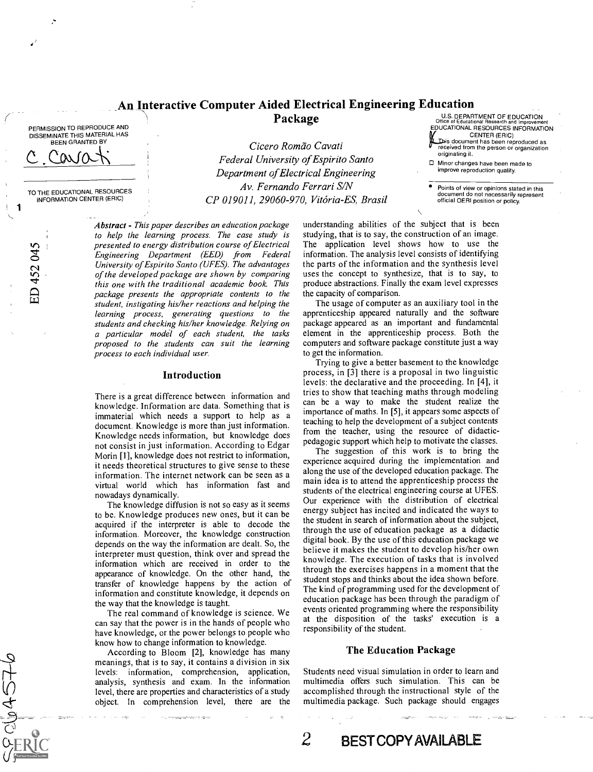## An Interactive Computer Aided Electrical Engineering Education Package

PERMISSION TO REPRODUCE AND DISSEMINATE THIS MATERIAL HAS BEEN GRANTED BY

c cavati

TO THE EDUCATIONAL RESOURCES INFORMATION CENTER (ERIC)

ED 452 045

 $SU_0A$ 57

Cicero Romão Cavati Federal University of Espirito Santo Department of Electrical Engineering Av. Fernando Ferrari S/N CP 019011, 29060-970, Vitoria-ES, Brasil

Abstract - This paper describes an education package to help the learning process. The case study is presented to energy distribution course of Electrical Engineering Department (EED) from Federal University of Espirito Santo (UFES). The advantages of the developed package are shown by comparing this one with the traditional academic book. This package presents the appropriate contents to the student, instigating his/her reactions and helping the learning process, generating questions to the students and checking his/her knowledge. Relying on a particular model of each student, the tasks proposed to the students can suit the learning process to each individual user.

#### Introduction

There is a great difference between information and knowledge. Information are data. Something that is immaterial which needs a support to help as a document. Knowledge is more than just information. Knowledge needs information, but knowledge does not consist in just information. According to Edgar Morin [1], knowledge does not restrict to information, it needs theoretical structures to give sense to these information. The internet network can be seen as a virtual world which has information fast and nowadays dynamically.

The knowledge diffusion is not so easy as it seems to be. Knowledge produces new ones, but it can be acquired if the interpreter is able to decode the information. Moreover, the knowledge construction depends on the way the information are dealt. So, the interpreter must question, think over and spread the information which are received in order to the appearance of knowledge. On the other hand, the transfer of knowledge happens by the action of information and constitute knowledge, it depends on the way that the knowledge is taught.

The real command of knowledge is science. We can say that the power is in the hands of people who have knowledge, or the power belongs to people who know how to change information to knowledge.

devel, there are properties and characteristics of a study accompany accompany of the study accompany accompany of the study accompany of the study accompany of the study accompany of the study accompany of the study accom According to Bloom [2], knowledge has many meanings, that is to say, it contains a division in six levels: information, comprehension, application, analysis, synthesis and exam. In the information object. In comprehension level, there are the

understanding abilities of the subject that is been studying, that is to say, the construction of an image. The application level shows how to use the information. The analysis level consists of identifying the parts of the information and the synthesis level uses the concept to synthesize, that is to say, to produce abstractions. Finally the exam level expresses the capacity of comparison.

The usage of computer as an auxiliary tool in the apprenticeship appeared naturally and the software package appeared as an important and fundamental element in the apprenticeship process. Both the computers and software package constitute just a way to get the information.

Trying to give a better basement to the knowledge process, in [3] there is a proposal in two linguistic levels: the declarative and the proceeding. In [4], it tries to show that teaching maths through modeling can be a way to make the student realize the importance of maths. In [5], it appears some aspects of teaching to help the development of a subject contents from the teacher, using the resource of didacticpedagogic support which help to motivate the classes.

The suggestion of this work is to bring the experience acquired during the implementation and along the use of the developed education package. The main idea is to attend the apprenticeship process the students of the electrical engineering course at UFES. Our experience with the distribution of electrical energy subject has incited and indicated the ways to the student in search of information about the subject, through the use of education package as a didactic digital book. By the use of this education package we believe it makes the student to develop his/her own knowledge. The execution of tasks that is involved through the exercises happens in a moment that the student stops and thinks about the idea shown before. The kind of programming used for the development of education package has been through the paradigm of events oriented programming where the responsibility at the disposition of the tasks'execution is a responsibility of the student.

#### The Education Package

Students need visual simulation in order to learn and multimedia offers such simulation. This can be accomplished through the instructional style of the multimedia package. Such package should engages

originating it.

Minor changes have been made to improve reproduction quality.

Points of view or opinions stated in this document do not necessarily represent official OERI position or policy.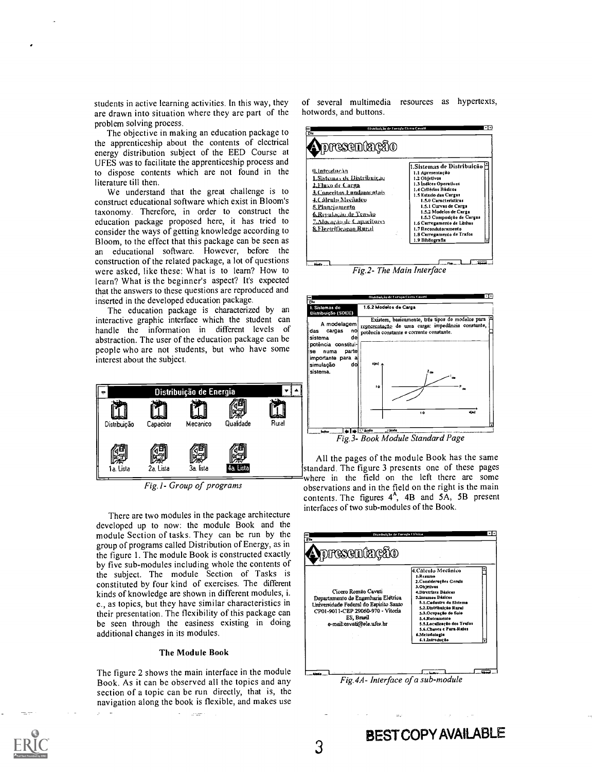students in active learning activities. In this way, they are drawn into situation where they are part of the problem solving process.

The objective in making an education package to the apprenticeship about the contents of electrical energy distribution subject of the EED Course at UFES was to facilitate the apprenticeship process and to dispose contents which are not found in the literature till then.

We understand that the great challenge is to construct educational software which exist in Bloom's taxonomy. Therefore, in order to construct the education package proposed here, it has tried to consider the ways of getting knowledge according to Bloom, to the effect that this package can be seen as an educational software. However, before the construction of the related package, a lot of questions were asked, like these: What is to learn? How to learn? What is the beginner's aspect? It's expected that the answers to these questions are reproduced and inserted in the developed education package.

The education package is characterized by an interactive graphic interface which the student can a modelagement handle the information in different levels of das abstraction. The user of the education package can be people who are not students, but who have some interest about the subject.



Fig. I- Group of programs

There are two modules in the package architecture developed up to now: the module Book and the module Section of tasks. They can be run by the group of programs called Distribution of Energy, as in<br>the figure 1. The module Book is constructed exactly the figure 1. The module Book is constructed exactly by five sub-modules including whole the contents of the subject. The module Section of Tasks is constituted by four kind of exercises. The different kinds of knowledge are shown in different modules, i. e., as topics, but they have similar characteristics in their presentation. The flexibility of this package can be seen through the easiness existing in doing additional changes in its modules.

#### The Module Book

The figure 2 shows the main interface in the module Book. As it can be observed all the topics and any section of a topic can be run directly, that is, the navigation along the book is flexible, and makes use

.<br>مورخ

of several multimedia resources as hypertexts, hotwords, and buttons.

| 0. Introducão<br>LSistemas de Distribute.iu<br>2.Fluxo de Carga<br>3.Conceitos Fundamentais<br>4.Calculu Mecânico<br><u>5. Planciamento</u><br>6.Repulação de Tensão<br>Z Alusação de Capacitures<br><b>8. Electrificação Ramid</b> | 1.Sistemas de Distribuição  <br>1.1 Apresentação<br>1.2 Objetivos<br>1.3 Indices Operativos<br>1.4 Critérios Básicos<br>1.5 Estudo das Cargas<br>1.5.0 Características<br>1.5.1 Curvas de Carga<br>1.5.2 Modelos de Carga<br>1.5.3 Composição de Cargas<br>1.6 Carregamento de Linhas<br>1.7 Recondutoramento<br>1,8 Carregamento de Trafos<br>1.9 Bibliografia |
|-------------------------------------------------------------------------------------------------------------------------------------------------------------------------------------------------------------------------------------|-----------------------------------------------------------------------------------------------------------------------------------------------------------------------------------------------------------------------------------------------------------------------------------------------------------------------------------------------------------------|
|-------------------------------------------------------------------------------------------------------------------------------------------------------------------------------------------------------------------------------------|-----------------------------------------------------------------------------------------------------------------------------------------------------------------------------------------------------------------------------------------------------------------------------------------------------------------------------------------------------------------|



All the pages of the module Book has the same standard. The figure 3 presents one of these pages where in the field on the left there are some observations and in the field on the right is the main contents. The figures  $4^A$ ,  $4B$  and  $5A$ ,  $5B$  present interfaces of two sub-modules of the Book.



Fig.4A- Interface of a sub-module

BEST COPY AVAILABLE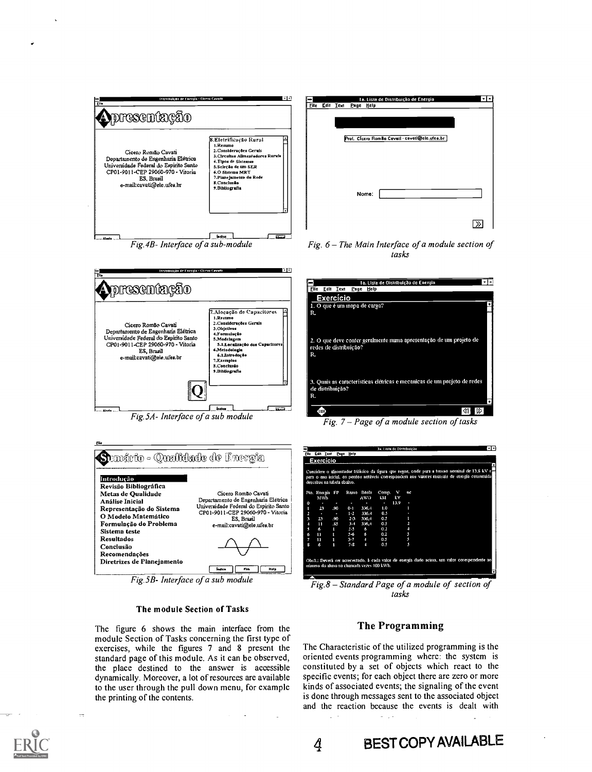





Fig.5A- Interface of a sub module



 $Fig.5B-Interface$  of a sub module

#### The module Section of Tasks

The figure 6 shows the main interface from the module Section of Tasks concerning the first type of exercises, while the figures 7 and 8 present the standard page of this module. As it can be observed, the place destined to the answer is accessible dynamically. Moreover, a lot of resources are available to the user through the pull down menu, for example the printing of the contents.



Fig.  $6$  – The Main Interface of a module section of tasks



Fig.  $7$  – Page of a module section of tasks

| <b>File</b>         | Edit Inst. Page Help        |     |         |                | 3». Lista de Distribuição                 |      |                                                                                                                                                                                                |  |  |  |
|---------------------|-----------------------------|-----|---------|----------------|-------------------------------------------|------|------------------------------------------------------------------------------------------------------------------------------------------------------------------------------------------------|--|--|--|
|                     | Exercício                   |     |         |                |                                           |      |                                                                                                                                                                                                |  |  |  |
|                     | descritos na tabela abaixo. |     |         |                |                                           |      | Considere o alimentador trifásico da figura que segue, onde para a tensão nominal de 13,8 kV e<br>para o ano inicial, os pontos notáveis correspondem aos valores mensais de energia consumida |  |  |  |
|                     | Pto. Encimia                | FP  |         | Ramo Bitola    | Comp.                                     | v    | nc                                                                                                                                                                                             |  |  |  |
|                     | MWh                         |     |         | <b>AWG</b>     | kM                                        | kV   |                                                                                                                                                                                                |  |  |  |
| $\ddot{\mathbf{0}}$ |                             |     | ٠       | ۰              | п                                         | 13.9 |                                                                                                                                                                                                |  |  |  |
| Π                   | 23                          | .90 | $0 - 1$ | 336.4          | 1.0                                       |      | п                                                                                                                                                                                              |  |  |  |
| 2                   | ٠                           | ٠   | $1-2$   | 336.4          | 0.5                                       |      |                                                                                                                                                                                                |  |  |  |
| я                   | 23                          | .90 | $2 - 3$ | 336.4          | 0.5                                       |      | 1                                                                                                                                                                                              |  |  |  |
| 4                   | n                           | .85 | $3-4$   | 336.4          | 0.5                                       |      | ц                                                                                                                                                                                              |  |  |  |
| S                   | б                           | ι   | $2 - 5$ | 6              | 0.2                                       |      | н                                                                                                                                                                                              |  |  |  |
| б                   | 11                          | П   | $5 - 6$ | 6              | 0.2                                       |      | 5                                                                                                                                                                                              |  |  |  |
| 7                   | 11                          | я   | $3 - 7$ | $\overline{a}$ | 0.5                                       |      | s                                                                                                                                                                                              |  |  |  |
| 8                   | 6                           | И   | $7 - 8$ | А              | 0.5                                       |      |                                                                                                                                                                                                |  |  |  |
|                     |                             |     |         |                | mimero do aluno na chamada vezes 100 kWh. |      | Obs1.: Deverá ser acrecentado, à cada valor de energia dado acima, um valor corespondente ao                                                                                                   |  |  |  |

 $Fig.8 - Standard Page of a module of section of$ tasks.

## The Programming

The Characteristic of the utilized programming is the oriented events programming where: the system is constituted by a set of objects which react to the specific events; for each object there are zero or more kinds of associated events; the signaling of the event is done through messages sent to the associated object and the reaction because the events is dealt with - 10

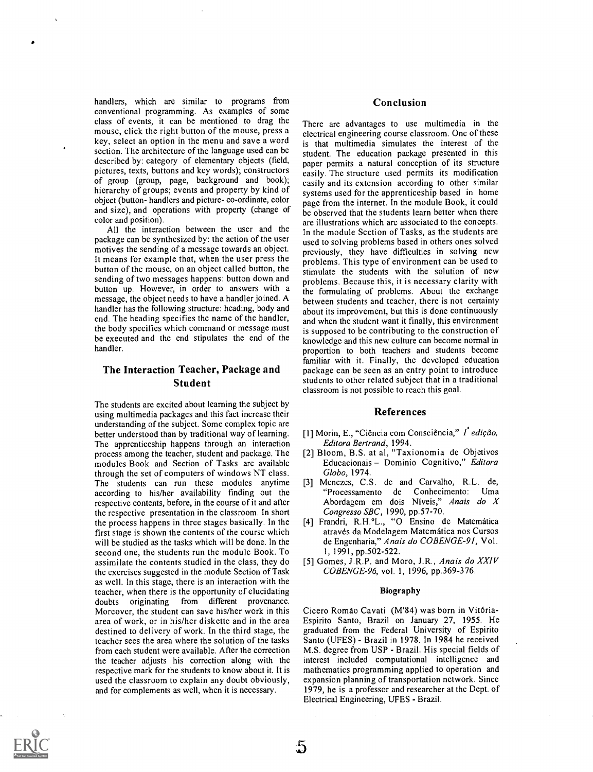handlers, which are similar to programs from conventional programming. As examples of some class of events, it can be mentioned to drag the mouse, click the right button of the mouse, press a key, select an option in the menu and save a word section. The architecture of the language used can be described by: category of elementary objects (field, pictures, texts, buttons and key words); constructors of group (group, page, background and book); hierarchy of groups; events and property by kind of object (button- handlers and picture- co-ordinate, color and size), and operations with property (change of color and position).

All the interaction between the user and the package can be synthesized by: the action of the user motives the sending of a message towards an object. It means for example that, when the user press the button of the mouse, on an object called button, the sending of two messages happens: button down and button up. However, in order to answers with a message, the object needs to have a handler joined. A handler has the following structure: heading, body and end. The heading specifies the name of the handler, the body specifies which command or message must be executed and the end stipulates the end of the handler.

## The Interaction Teacher, Package and Student

The students are excited about learning the subject by using multimedia packages and this fact increase their understanding of the subject. Some complex topic are better understood than by traditional way of learning. The apprenticeship happens through an interaction process among the teacher, student and package. The modules Book and Section of Tasks are available through the set of computers of windows NT class. The students can run these modules anytime according to his/her availability finding out the respective contents, before, in the course of it and after the respective presentation in the classroom. In short the process happens in three stages basically. In the first stage is shown the contents of the course which will be studied as the tasks which will be done. In the second one, the students run the module Book. To assimilate the contents studied in the class, they do the exercises suggested in the module Section of Task as well. In this stage, there is an interaction with the teacher, when there is the opportunity of elucidating doubts originating from different provenance. Moreover, the student can save his/her work in this area of work, or in his/her diskette and in the area destined to delivery of work. In the third stage, the teacher sees the area where the solution of the tasks from each student were available. After the correction the teacher adjusts his correction along with the respective mark for the students to know about it. It is used the classroom to explain any doubt obviously, and for complements as well, when it is necessary.

### Conclusion

There are advantages to use multimedia in the electrical engineering course classroom. One of these is that multimedia simulates the interest of the student. The education package presented in this paper permits a natural conception of its structure easily. The structure used permits its modification easily and its extension according to other similar systems used for the apprenticeship based in home page from the internet. In the module Book, it could be observed that the students learn better when there are illustrations which are associated to the concepts. In the module Section of Tasks, as the students are used to solving problems based in others ones solved previously, they have difficulties in solving new problems. This type of environment can be used to stimulate the students with the solution of new problems. Because this, it is necessary clarity with the formulating of problems. About the exchange between students and teacher, there is not certainty about its improvement, but this is done continuously and when the student want it finally, this environment is supposed to be contributing to the construction of knowledge and this new culture can become normal in proportion to both teachers and students become familiar with it. Finally, the developed education package can be seen as an entry point to introduce students to other related subject that in a traditional classroom is not possible to reach this goal.

#### References

- [1] Morin, E., "Ciência com Consciência," I edicão, Editora Bertrand, 1994.
- [2] Bloom, B.S. at al, "Taxionomia de Objetivos Educacionais - Dominio Cognitivo," Editora Globo, 1974.
- [3] Menezes, C.S. de and Carvalho, R.L. de, "Processamento de Conhecimento: Uma Abordagem em dois Niveis," Anais do X Congresso SBC, 1990, pp.57-70.
- [4] Frandri, R.H.°L., "0 Ensino de Matematica através da Modelagem Matemática nos Cursos de Engenharia," Anais do COBENGE-91, Vol. 1, 1991, pp.502-522.
- [5] Gomes, J.R.P. and Moro, J.R., Anais do XXIV COBENGE-96, vol. 1, 1996, pp.369-376.

#### Biography

Cicero Romão Cavati (M'84) was born in Vitória-Espirito Santo, Brazil on January 27, 1955. He graduated from the Federal University of Espirito Santo (UFES) - Brazil in 1978. In 1984 he received M.S. degree from USP - Brazil. His special fields of interest included computational intelligence and mathematics programming applied to operation and expansion planning of transportation network. Since 1979, he is a professor and researcher at the Dept. of Electrical Engineering, UFES - Brazil.